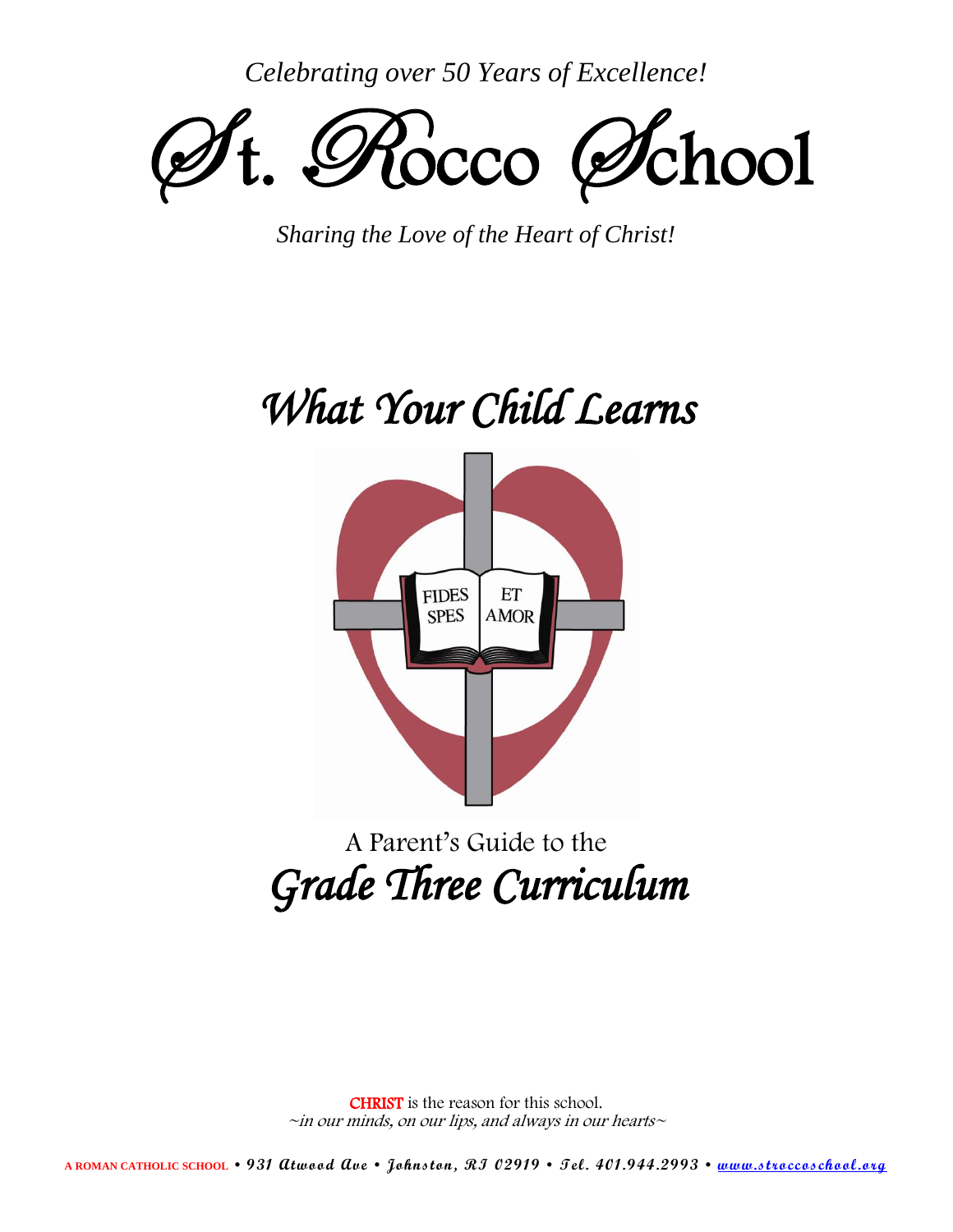*Celebrating over 50 Years of Excellence!*



*Sharing the Love of the Heart of Christ!*

# *What Your Child Learns*



## A Parent's Guide to the *Grade Three Curriculum*

CHRIST is the reason for this school.  $\sim$ in our minds, on our lips, and always in our hearts $\sim$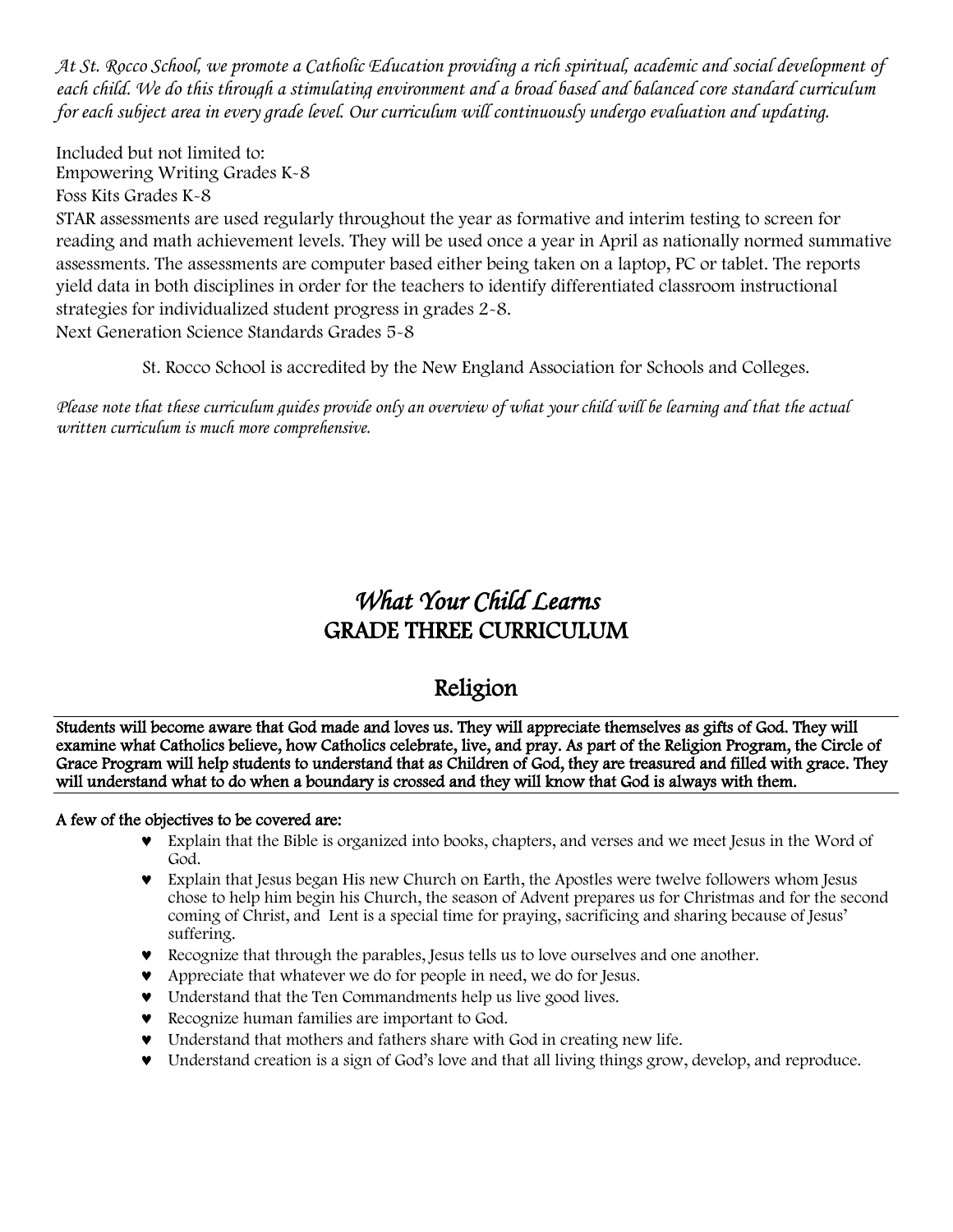*At St. Rocco School, we promote a Catholic Education providing a rich spiritual, academic and social development of each child. We do this through a stimulating environment and a broad based and balanced core standard curriculum for each subject area in every grade level. Our curriculum will continuously undergo evaluation and updating.*

Included but not limited to: Empowering Writing Grades K-8

Foss Kits Grades K-8

STAR assessments are used regularly throughout the year as formative and interim testing to screen for reading and math achievement levels. They will be used once a year in April as nationally normed summative assessments. The assessments are computer based either being taken on a laptop, PC or tablet. The reports yield data in both disciplines in order for the teachers to identify differentiated classroom instructional strategies for individualized student progress in grades 2-8. Next Generation Science Standards Grades 5-8

St. Rocco School is accredited by the New England Association for Schools and Colleges.

*Please note that these curriculum guides provide only an overview of what your child will be learning and that the actual written curriculum is much more comprehensive.*

## *What Your Child Learns*  GRADE THREE CURRICULUM

## Religion

Students will become aware that God made and loves us. They will appreciate themselves as gifts of God. They will examine what Catholics believe, how Catholics celebrate, live, and pray. As part of the Religion Program, the Circle of Grace Program will help students to understand that as Children of God, they are treasured and filled with grace. They will understand what to do when a boundary is crossed and they will know that God is always with them.

#### A few of the objectives to be covered are:

- Explain that the Bible is organized into books, chapters, and verses and we meet Jesus in the Word of God.
- Explain that Jesus began His new Church on Earth, the Apostles were twelve followers whom Jesus chose to help him begin his Church, the season of Advent prepares us for Christmas and for the second coming of Christ, and Lent is a special time for praying, sacrificing and sharing because of Jesus' suffering.
- Recognize that through the parables, Jesus tells us to love ourselves and one another.
- Appreciate that whatever we do for people in need, we do for Jesus.
- Understand that the Ten Commandments help us live good lives.
- Recognize human families are important to God.
- Understand that mothers and fathers share with God in creating new life.
- Understand creation is a sign of God's love and that all living things grow, develop, and reproduce.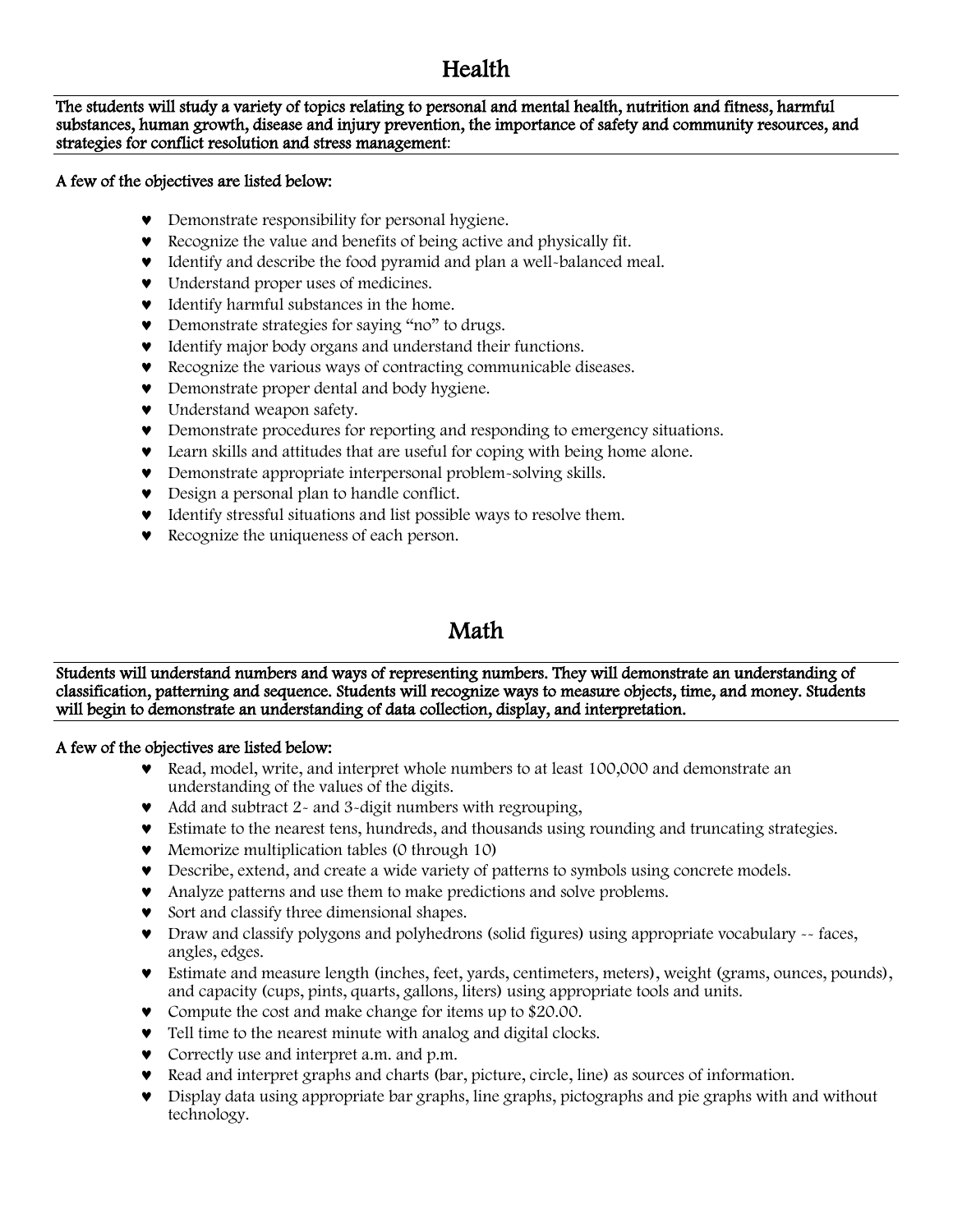## Health

The students will study a variety of topics relating to personal and mental health, nutrition and fitness, harmful substances, human growth, disease and injury prevention, the importance of safety and community resources, and strategies for conflict resolution and stress management:

#### A few of the objectives are listed below:

- Demonstrate responsibility for personal hygiene.
- Recognize the value and benefits of being active and physically fit.
- Identify and describe the food pyramid and plan a well-balanced meal.
- $\bullet$  Understand proper uses of medicines.
- $\bullet$  Identify harmful substances in the home.
- Demonstrate strategies for saying "no" to drugs.
- Identify major body organs and understand their functions.
- Recognize the various ways of contracting communicable diseases.
- **•** Demonstrate proper dental and body hygiene.
- $\bullet$  Understand weapon safety.
- Demonstrate procedures for reporting and responding to emergency situations.
- Learn skills and attitudes that are useful for coping with being home alone.
- Demonstrate appropriate interpersonal problem-solving skills.
- Design a personal plan to handle conflict.
- Identify stressful situations and list possible ways to resolve them.
- **v** Recognize the uniqueness of each person.

#### Math

Students will understand numbers and ways of representing numbers. They will demonstrate an understanding of classification, patterning and sequence. Students will recognize ways to measure objects, time, and money. Students will begin to demonstrate an understanding of data collection, display, and interpretation.

#### A few of the objectives are listed below:

- Read, model, write, and interpret whole numbers to at least 100,000 and demonstrate an understanding of the values of the digits.
- Add and subtract 2- and 3-digit numbers with regrouping,
- Estimate to the nearest tens, hundreds, and thousands using rounding and truncating strategies.
- Memorize multiplication tables (0 through 10)
- Describe, extend, and create a wide variety of patterns to symbols using concrete models.
- Analyze patterns and use them to make predictions and solve problems.
- Sort and classify three dimensional shapes.
- Draw and classify polygons and polyhedrons (solid figures) using appropriate vocabulary -- faces, angles, edges.
- Estimate and measure length (inches, feet, yards, centimeters, meters), weight (grams, ounces, pounds), and capacity (cups, pints, quarts, gallons, liters) using appropriate tools and units.
- Compute the cost and make change for items up to \$20.00.
- Tell time to the nearest minute with analog and digital clocks.
- Correctly use and interpret a.m. and p.m.
- $\bullet$  Read and interpret graphs and charts (bar, picture, circle, line) as sources of information.
- Display data using appropriate bar graphs, line graphs, pictographs and pie graphs with and without technology.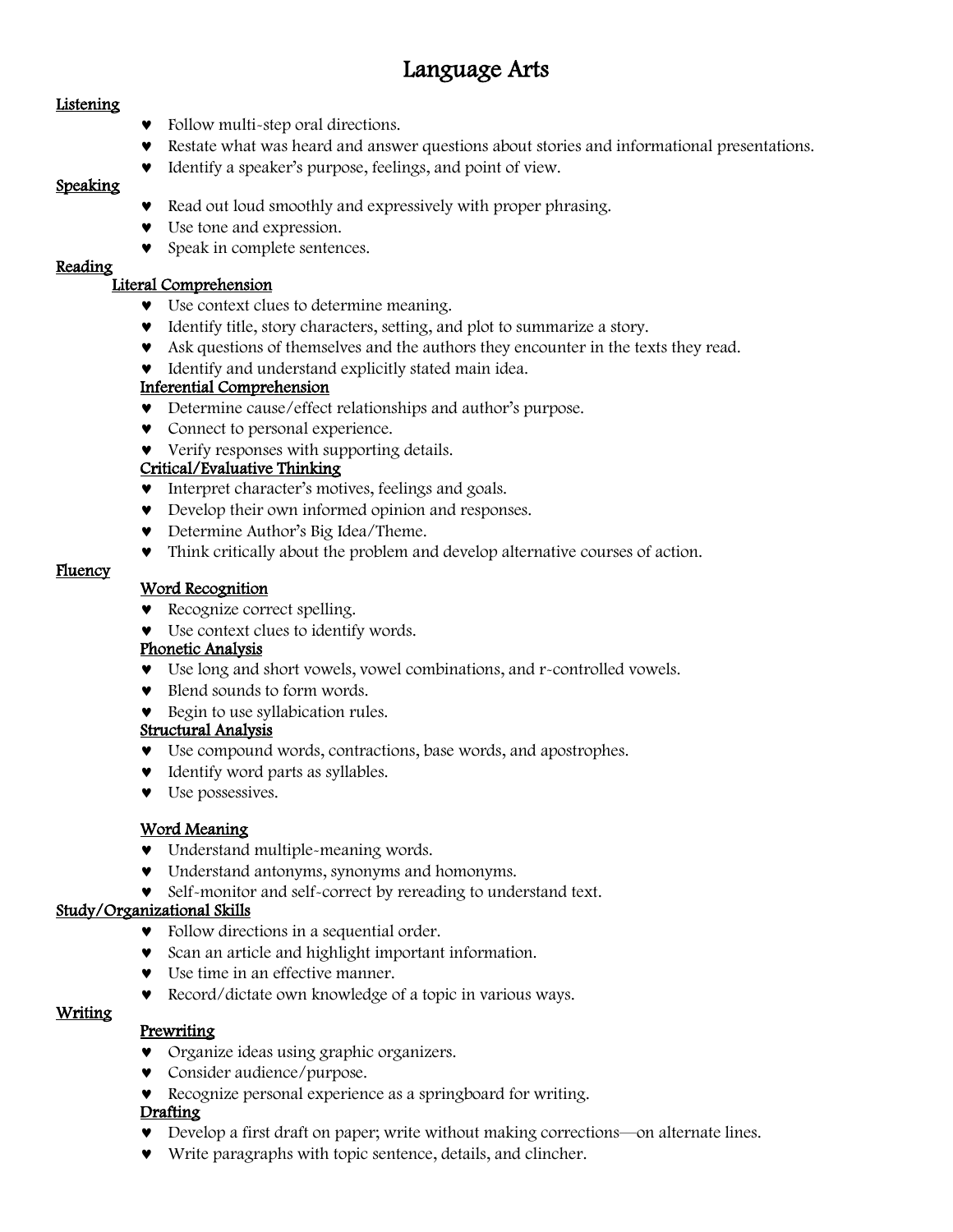## Language Arts

#### **Listening**

- Follow multi-step oral directions.
- Restate what was heard and answer questions about stories and informational presentations.
- Identify a speaker's purpose, feelings, and point of view.

#### Speaking

- Read out loud smoothly and expressively with proper phrasing.
- Use tone and expression.
- **v** Speak in complete sentences.

#### Reading

#### Literal Comprehension

- Use context clues to determine meaning.
- Identify title, story characters, setting, and plot to summarize a story.
- Ask questions of themselves and the authors they encounter in the texts they read.
- $\bullet$  Identify and understand explicitly stated main idea.

#### Inferential Comprehension

- Determine cause/effect relationships and author's purpose.
- Connect to personal experience.
- Verify responses with supporting details.

#### Critical/Evaluative Thinking

- $\bullet$  Interpret character's motives, feelings and goals.
- Develop their own informed opinion and responses.
- Determine Author's Big Idea/Theme.
- Think critically about the problem and develop alternative courses of action.

#### **Fluency**

#### Word Recognition

- **v** Recognize correct spelling.
- Use context clues to identify words.

#### Phonetic Analysis

- Use long and short vowels, vowel combinations, and r-controlled vowels.
- Blend sounds to form words.
- Begin to use syllabication rules.

#### Structural Analysis

- Use compound words, contractions, base words, and apostrophes.
- $\bullet$  Identify word parts as syllables.
- $\bullet$  Use possessives.

#### Word Meaning

- Understand multiple-meaning words.
- Understand antonyms, synonyms and homonyms.
- Self-monitor and self-correct by rereading to understand text.

#### Study/Organizational Skills

- Follow directions in a sequential order.
- **v** Scan an article and highlight important information.
- Use time in an effective manner.
- Record/dictate own knowledge of a topic in various ways.

#### Writing

#### **Prewriting**

- Organize ideas using graphic organizers.
- Consider audience/purpose.
- Recognize personal experience as a springboard for writing.

#### Drafting

- Develop a first draft on paper; write without making corrections—on alternate lines.
- Write paragraphs with topic sentence, details, and clincher.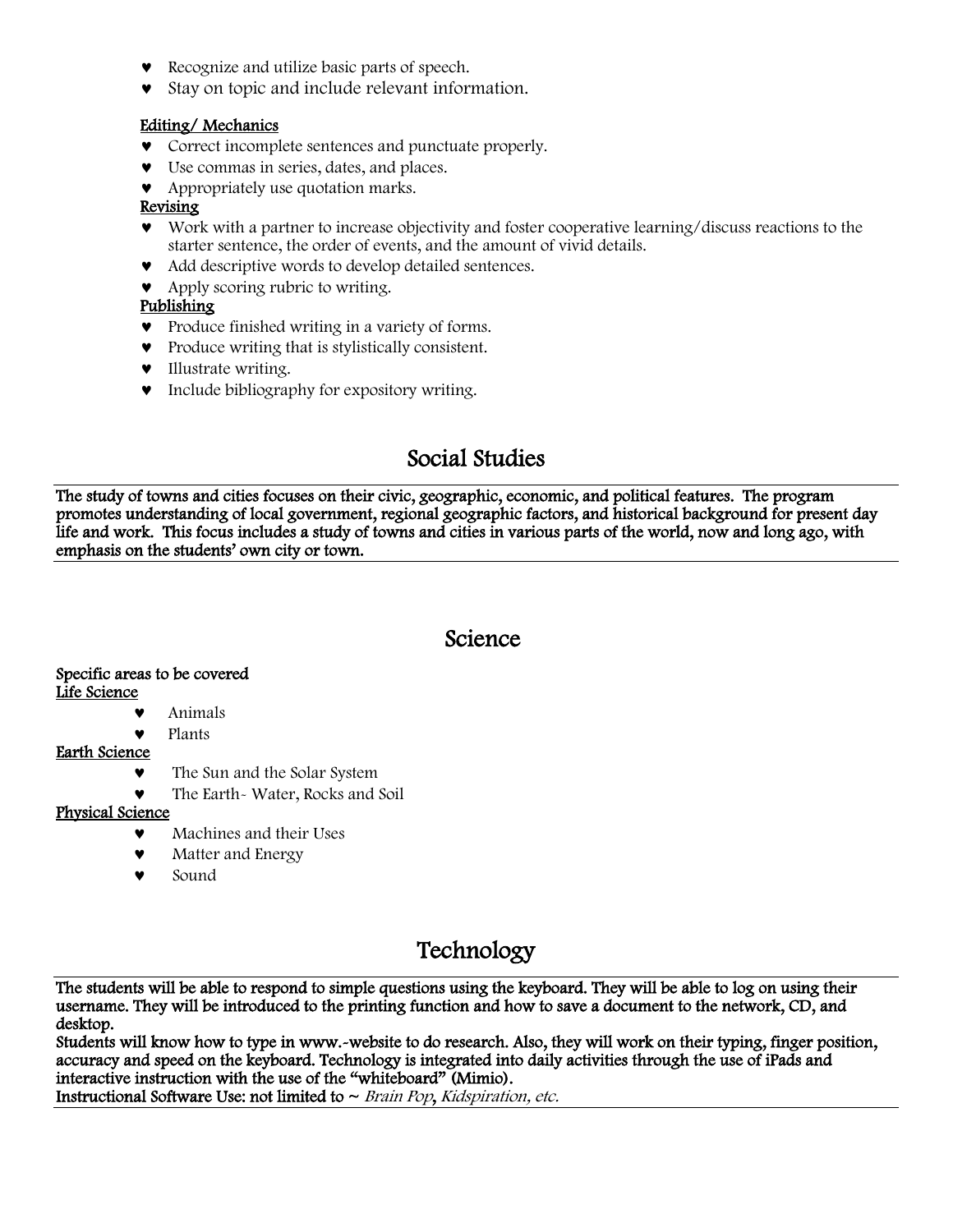- Recognize and utilize basic parts of speech.
- Stay on topic and include relevant information.

#### Editing/ Mechanics

- Correct incomplete sentences and punctuate properly.
- Use commas in series, dates, and places.
- Appropriately use quotation marks.

#### Revising

- Work with a partner to increase objectivity and foster cooperative learning/discuss reactions to the starter sentence, the order of events, and the amount of vivid details.
- Add descriptive words to develop detailed sentences.
- Apply scoring rubric to writing.

#### Publishing

- Produce finished writing in a variety of forms.
- Produce writing that is stylistically consistent.
- **v** Illustrate writing.
- Include bibliography for expository writing.

## Social Studies

The study of towns and cities focuses on their civic, geographic, economic, and political features. The program promotes understanding of local government, regional geographic factors, and historical background for present day life and work. This focus includes a study of towns and cities in various parts of the world, now and long ago, with emphasis on the students' own city or town.

#### Science

#### Specific areas to be covered Life Science

- Animals
- Plants

#### Earth Science

- The Sun and the Solar System
- The Earth- Water, Rocks and Soil

#### Physical Science

- Machines and their Uses
- Matter and Energy
- Sound

## Technology

The students will be able to respond to simple questions using the keyboard. They will be able to log on using their username. They will be introduced to the printing function and how to save a document to the network, CD, and desktop.

Students will know how to type in www.-website to do research. Also, they will work on their typing, finger position, accuracy and speed on the keyboard. Technology is integrated into daily activities through the use of iPads and interactive instruction with the use of the "whiteboard" (Mimio).

Instructional Software Use: not limited to  $\sim$  Brain Pop, Kidspiration, etc.